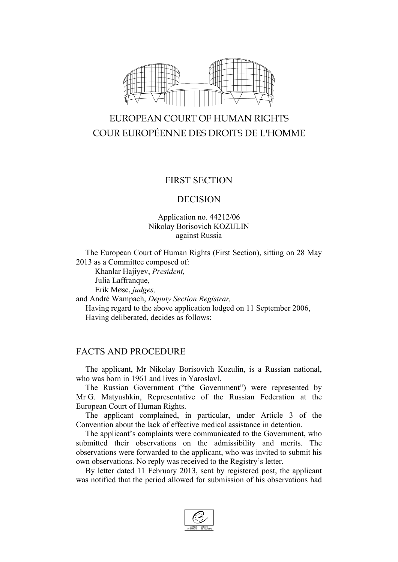

# EUROPEAN COURT OF HUMAN RIGHTS COUR EUROPÉENNE DES DROITS DE L'HOMME

### FIRST SECTION

#### DECISION

#### Application no. 44212/06 Nikolay Borisovich KOZULIN against Russia

The European Court of Human Rights (First Section), sitting on 28 May 2013 as a Committee composed of:

Khanlar Hajiyev, *President,* Julia Laffranque,

Erik Møse, *judges,*

and André Wampach, *Deputy Section Registrar,* Having regard to the above application lodged on 11 September 2006, Having deliberated, decides as follows:

## FACTS AND PROCEDURE

The applicant, Mr Nikolay Borisovich Kozulin, is a Russian national, who was born in 1961 and lives in Yaroslavl.

The Russian Government ("the Government") were represented by Mr G. Matyushkin, Representative of the Russian Federation at the European Court of Human Rights.

The applicant complained, in particular, under Article 3 of the Convention about the lack of effective medical assistance in detention.

The applicant's complaints were communicated to the Government, who submitted their observations on the admissibility and merits. The observations were forwarded to the applicant, who was invited to submit his own observations. No reply was received to the Registry's letter.

By letter dated 11 February 2013, sent by registered post, the applicant was notified that the period allowed for submission of his observations had